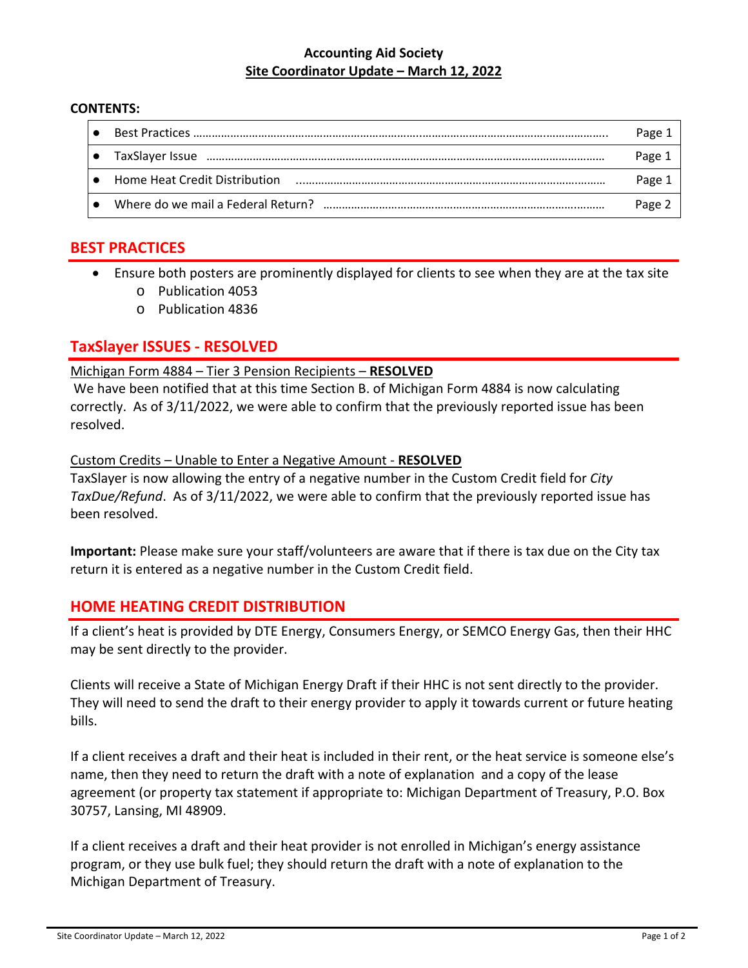### **Accounting Aid Society Site Coordinator Update – March 12, 2022**

#### **CONTENTS:**

|                               | Page 1 |
|-------------------------------|--------|
|                               | Page 1 |
| Home Heat Credit Distribution | Page 1 |
|                               | Page 2 |

### **BEST PRACTICES**

- Ensure both posters are prominently displayed for clients to see when they are at the tax site
	- o Publication 4053
	- o Publication 4836

## **TaxSlayer ISSUES ‐ RESOLVED**

#### Michigan Form 4884 – Tier 3 Pension Recipients – **RESOLVED**

 We have been notified that at this time Section B. of Michigan Form 4884 is now calculating correctly. As of 3/11/2022, we were able to confirm that the previously reported issue has been resolved.

#### Custom Credits – Unable to Enter a Negative Amount ‐ **RESOLVED**

TaxSlayer is now allowing the entry of a negative number in the Custom Credit field for *City TaxDue/Refund*. As of 3/11/2022, we were able to confirm that the previously reported issue has been resolved.

**Important:** Please make sure your staff/volunteers are aware that if there is tax due on the City tax return it is entered as a negative number in the Custom Credit field.

## **HOME HEATING CREDIT DISTRIBUTION**

If a client's heat is provided by DTE Energy, Consumers Energy, or SEMCO Energy Gas, then their HHC may be sent directly to the provider.

Clients will receive a State of Michigan Energy Draft if their HHC is not sent directly to the provider. They will need to send the draft to their energy provider to apply it towards current or future heating bills.

If a client receives a draft and their heat is included in their rent, or the heat service is someone else's name, then they need to return the draft with a note of explanation and a copy of the lease agreement (or property tax statement if appropriate to: Michigan Department of Treasury, P.O. Box 30757, Lansing, MI 48909.

If a client receives a draft and their heat provider is not enrolled in Michigan's energy assistance program, or they use bulk fuel; they should return the draft with a note of explanation to the Michigan Department of Treasury.